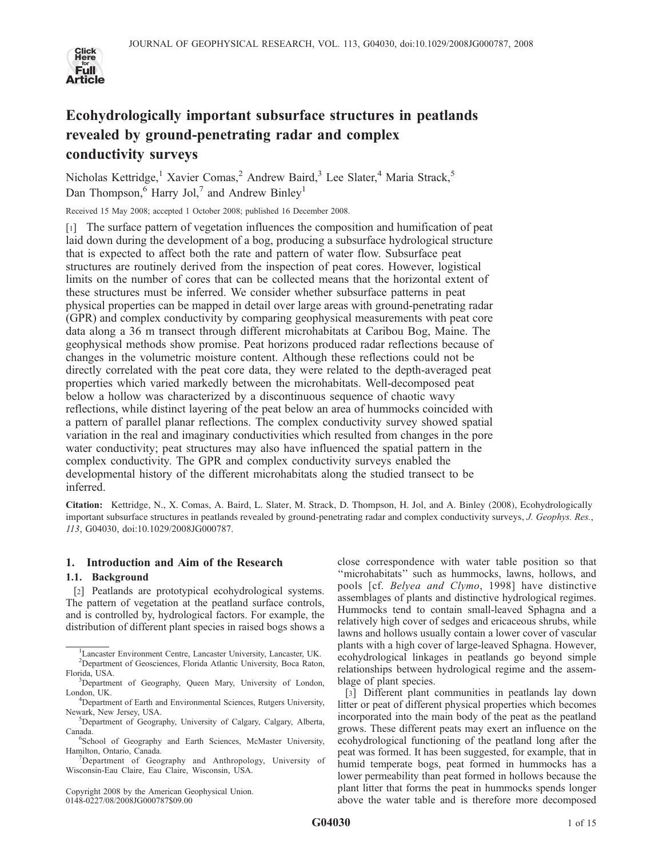

# Ecohydrologically important subsurface structures in peatlands revealed by ground-penetrating radar and complex conductivity surveys

Nicholas Kettridge,<sup>1</sup> Xavier Comas,<sup>2</sup> Andrew Baird,<sup>3</sup> Lee Slater,<sup>4</sup> Maria Strack,<sup>5</sup> Dan Thompson,  $6$  Harry Jol,<sup>7</sup> and Andrew Binley<sup>1</sup>

Received 15 May 2008; accepted 1 October 2008; published 16 December 2008.

[1] The surface pattern of vegetation influences the composition and humification of peat laid down during the development of a bog, producing a subsurface hydrological structure that is expected to affect both the rate and pattern of water flow. Subsurface peat structures are routinely derived from the inspection of peat cores. However, logistical limits on the number of cores that can be collected means that the horizontal extent of these structures must be inferred. We consider whether subsurface patterns in peat physical properties can be mapped in detail over large areas with ground-penetrating radar (GPR) and complex conductivity by comparing geophysical measurements with peat core data along a 36 m transect through different microhabitats at Caribou Bog, Maine. The geophysical methods show promise. Peat horizons produced radar reflections because of changes in the volumetric moisture content. Although these reflections could not be directly correlated with the peat core data, they were related to the depth-averaged peat properties which varied markedly between the microhabitats. Well-decomposed peat below a hollow was characterized by a discontinuous sequence of chaotic wavy reflections, while distinct layering of the peat below an area of hummocks coincided with a pattern of parallel planar reflections. The complex conductivity survey showed spatial variation in the real and imaginary conductivities which resulted from changes in the pore water conductivity; peat structures may also have influenced the spatial pattern in the complex conductivity. The GPR and complex conductivity surveys enabled the developmental history of the different microhabitats along the studied transect to be inferred.

Citation: Kettridge, N., X. Comas, A. Baird, L. Slater, M. Strack, D. Thompson, H. Jol, and A. Binley (2008), Ecohydrologically important subsurface structures in peatlands revealed by ground-penetrating radar and complex conductivity surveys, J. Geophys. Res., 113, G04030, doi:10.1029/2008JG000787.

# 1. Introduction and Aim of the Research

# 1.1. Background

[2] Peatlands are prototypical ecohydrological systems. The pattern of vegetation at the peatland surface controls, and is controlled by, hydrological factors. For example, the distribution of different plant species in raised bogs shows a

Copyright 2008 by the American Geophysical Union. 0148-0227/08/2008JG000787\$09.00

close correspondence with water table position so that ''microhabitats'' such as hummocks, lawns, hollows, and pools [cf. Belyea and Clymo, 1998] have distinctive assemblages of plants and distinctive hydrological regimes. Hummocks tend to contain small-leaved Sphagna and a relatively high cover of sedges and ericaceous shrubs, while lawns and hollows usually contain a lower cover of vascular plants with a high cover of large-leaved Sphagna. However, ecohydrological linkages in peatlands go beyond simple relationships between hydrological regime and the assemblage of plant species.

[3] Different plant communities in peatlands lay down litter or peat of different physical properties which becomes incorporated into the main body of the peat as the peatland grows. These different peats may exert an influence on the ecohydrological functioning of the peatland long after the peat was formed. It has been suggested, for example, that in humid temperate bogs, peat formed in hummocks has a lower permeability than peat formed in hollows because the plant litter that forms the peat in hummocks spends longer above the water table and is therefore more decomposed

<sup>1</sup> Lancaster Environment Centre, Lancaster University, Lancaster, UK. <sup>2</sup>Department of Geosciences, Florida Atlantic University, Boca Raton, Florida, USA. <sup>3</sup>

<sup>&</sup>lt;sup>3</sup>Department of Geography, Queen Mary, University of London, London, UK.

<sup>&</sup>lt;sup>4</sup>Department of Earth and Environmental Sciences, Rutgers University, Newark, New Jersey, USA. <sup>5</sup>

<sup>&</sup>lt;sup>5</sup>Department of Geography, University of Calgary, Calgary, Alberta, Canada.

<sup>&</sup>lt;sup>6</sup>School of Geography and Earth Sciences, McMaster University, Hamilton, Ontario, Canada. <sup>7</sup>

Department of Geography and Anthropology, University of Wisconsin-Eau Claire, Eau Claire, Wisconsin, USA.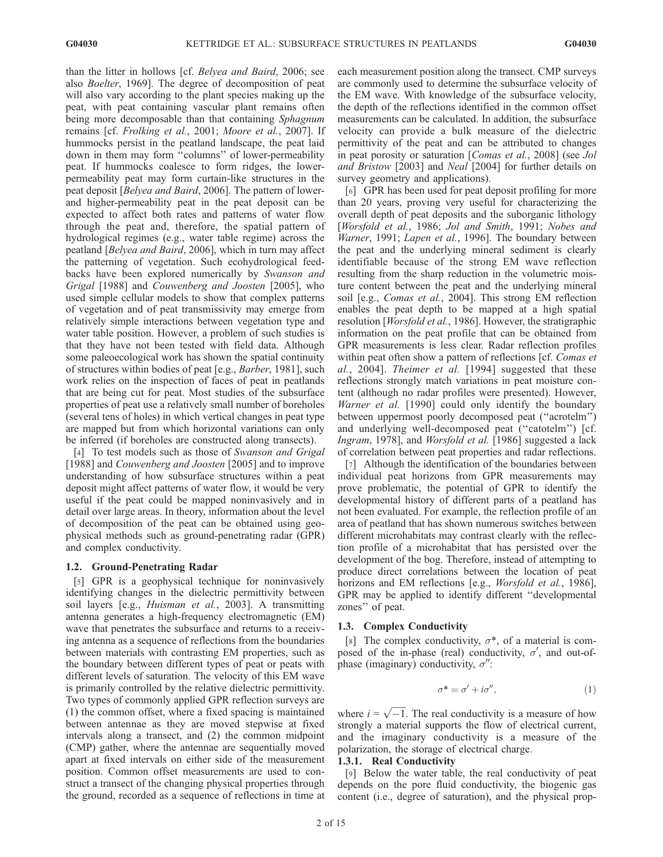than the litter in hollows [cf. Belyea and Baird, 2006; see also Boelter, 1969]. The degree of decomposition of peat will also vary according to the plant species making up the peat, with peat containing vascular plant remains often being more decomposable than that containing Sphagnum remains [cf. Frolking et al., 2001; Moore et al., 2007]. If hummocks persist in the peatland landscape, the peat laid down in them may form ''columns'' of lower-permeability peat. If hummocks coalesce to form ridges, the lowerpermeability peat may form curtain-like structures in the peat deposit [Belyea and Baird, 2006]. The pattern of lowerand higher-permeability peat in the peat deposit can be expected to affect both rates and patterns of water flow through the peat and, therefore, the spatial pattern of hydrological regimes (e.g., water table regime) across the peatland [Belyea and Baird, 2006], which in turn may affect the patterning of vegetation. Such ecohydrological feedbacks have been explored numerically by Swanson and Grigal [1988] and Couwenberg and Joosten [2005], who used simple cellular models to show that complex patterns of vegetation and of peat transmissivity may emerge from relatively simple interactions between vegetation type and water table position. However, a problem of such studies is that they have not been tested with field data. Although some paleoecological work has shown the spatial continuity of structures within bodies of peat [e.g., Barber, 1981], such work relies on the inspection of faces of peat in peatlands that are being cut for peat. Most studies of the subsurface properties of peat use a relatively small number of boreholes (several tens of holes) in which vertical changes in peat type are mapped but from which horizontal variations can only be inferred (if boreholes are constructed along transects).

[4] To test models such as those of Swanson and Grigal [1988] and *Couwenberg and Joosten* [2005] and to improve understanding of how subsurface structures within a peat deposit might affect patterns of water flow, it would be very useful if the peat could be mapped noninvasively and in detail over large areas. In theory, information about the level of decomposition of the peat can be obtained using geophysical methods such as ground-penetrating radar (GPR) and complex conductivity.

#### 1.2. Ground-Penetrating Radar

[5] GPR is a geophysical technique for noninvasively identifying changes in the dielectric permittivity between soil layers [e.g., *Huisman et al.*, 2003]. A transmitting antenna generates a high-frequency electromagnetic (EM) wave that penetrates the subsurface and returns to a receiving antenna as a sequence of reflections from the boundaries between materials with contrasting EM properties, such as the boundary between different types of peat or peats with different levels of saturation. The velocity of this EM wave is primarily controlled by the relative dielectric permittivity. Two types of commonly applied GPR reflection surveys are (1) the common offset, where a fixed spacing is maintained between antennae as they are moved stepwise at fixed intervals along a transect, and (2) the common midpoint (CMP) gather, where the antennae are sequentially moved apart at fixed intervals on either side of the measurement position. Common offset measurements are used to construct a transect of the changing physical properties through the ground, recorded as a sequence of reflections in time at each measurement position along the transect. CMP surveys are commonly used to determine the subsurface velocity of the EM wave. With knowledge of the subsurface velocity, the depth of the reflections identified in the common offset measurements can be calculated. In addition, the subsurface velocity can provide a bulk measure of the dielectric permittivity of the peat and can be attributed to changes in peat porosity or saturation [Comas et al., 2008] (see Jol and Bristow [2003] and Neal [2004] for further details on survey geometry and applications).

[6] GPR has been used for peat deposit profiling for more than 20 years, proving very useful for characterizing the overall depth of peat deposits and the suborganic lithology [Worsfold et al., 1986; Jol and Smith, 1991; Nobes and Warner, 1991; Lapen et al., 1996]. The boundary between the peat and the underlying mineral sediment is clearly identifiable because of the strong EM wave reflection resulting from the sharp reduction in the volumetric moisture content between the peat and the underlying mineral soil [e.g., Comas et al., 2004]. This strong EM reflection enables the peat depth to be mapped at a high spatial resolution [Worsfold et al., 1986]. However, the stratigraphic information on the peat profile that can be obtained from GPR measurements is less clear. Radar reflection profiles within peat often show a pattern of reflections [cf. Comas et al., 2004]. Theimer et al. [1994] suggested that these reflections strongly match variations in peat moisture content (although no radar profiles were presented). However, Warner et al. [1990] could only identify the boundary between uppermost poorly decomposed peat (''acrotelm'') and underlying well-decomposed peat (''catotelm'') [cf. Ingram, 1978], and Worsfold et al. [1986] suggested a lack of correlation between peat properties and radar reflections.

[7] Although the identification of the boundaries between individual peat horizons from GPR measurements may prove problematic, the potential of GPR to identify the developmental history of different parts of a peatland has not been evaluated. For example, the reflection profile of an area of peatland that has shown numerous switches between different microhabitats may contrast clearly with the reflection profile of a microhabitat that has persisted over the development of the bog. Therefore, instead of attempting to produce direct correlations between the location of peat horizons and EM reflections [e.g., Worsfold et al., 1986], GPR may be applied to identify different ''developmental zones'' of peat.

#### 1.3. Complex Conductivity

[8] The complex conductivity,  $\sigma^*$ , of a material is composed of the in-phase (real) conductivity,  $\sigma'$ , and out-ofphase (imaginary) conductivity,  $\sigma$ ":

$$
\sigma^* = \sigma' + i\sigma'',\tag{1}
$$

where  $i = \sqrt{-1}$ . The real conductivity is a measure of how strongly a material supports the flow of electrical current, and the imaginary conductivity is a measure of the polarization, the storage of electrical charge.

## 1.3.1. Real Conductivity

[9] Below the water table, the real conductivity of peat depends on the pore fluid conductivity, the biogenic gas content (i.e., degree of saturation), and the physical prop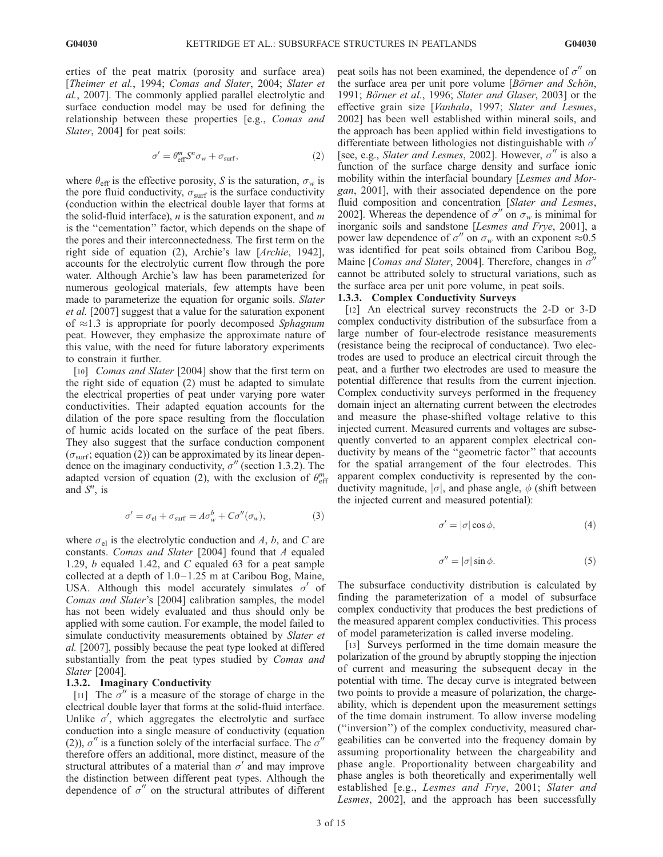erties of the peat matrix (porosity and surface area) [Theimer et al., 1994; Comas and Slater, 2004; Slater et al., 2007]. The commonly applied parallel electrolytic and surface conduction model may be used for defining the relationship between these properties [e.g., Comas and Slater, 2004] for peat soils:

$$
\sigma' = \theta_{\text{eff}}^m S^n \sigma_w + \sigma_{\text{surf}}, \qquad (2)
$$

where  $\theta_{\text{eff}}$  is the effective porosity, S is the saturation,  $\sigma_w$  is the pore fluid conductivity,  $\sigma_{\text{surf}}$  is the surface conductivity (conduction within the electrical double layer that forms at the solid-fluid interface),  $n$  is the saturation exponent, and  $m$ is the ''cementation'' factor, which depends on the shape of the pores and their interconnectedness. The first term on the right side of equation (2), Archie's law [Archie, 1942], accounts for the electrolytic current flow through the pore water. Although Archie's law has been parameterized for numerous geological materials, few attempts have been made to parameterize the equation for organic soils. Slater et al. [2007] suggest that a value for the saturation exponent of  $\approx$ 1.3 is appropriate for poorly decomposed Sphagnum peat. However, they emphasize the approximate nature of this value, with the need for future laboratory experiments to constrain it further.

[10] *Comas and Slater* [2004] show that the first term on the right side of equation (2) must be adapted to simulate the electrical properties of peat under varying pore water conductivities. Their adapted equation accounts for the dilation of the pore space resulting from the flocculation of humic acids located on the surface of the peat fibers. They also suggest that the surface conduction component  $(\sigma_{\text{surf}};$  equation (2)) can be approximated by its linear dependence on the imaginary conductivity,  $\sigma''$  (section 1.3.2). The adapted version of equation (2), with the exclusion of  $\theta_{\text{eff}}^m$ and  $S^n$ , is

$$
\sigma' = \sigma_{\rm el} + \sigma_{\rm surf} = A \sigma_w^b + C \sigma''(\sigma_w), \tag{3}
$$

where  $\sigma_{el}$  is the electrolytic conduction and A, b, and C are constants. Comas and Slater [2004] found that A equaled 1.29, b equaled 1.42, and C equaled 63 for a peat sample collected at a depth of  $1.0-1.25$  m at Caribou Bog, Maine, USA. Although this model accurately simulates  $\sigma'$  of Comas and Slater's [2004] calibration samples, the model has not been widely evaluated and thus should only be applied with some caution. For example, the model failed to simulate conductivity measurements obtained by Slater et al. [2007], possibly because the peat type looked at differed substantially from the peat types studied by Comas and Slater [2004].

## 1.3.2. Imaginary Conductivity

[11] The  $\sigma''$  is a measure of the storage of charge in the electrical double layer that forms at the solid-fluid interface. Unlike  $\sigma'$ , which aggregates the electrolytic and surface conduction into a single measure of conductivity (equation (2)),  $\sigma''$  is a function solely of the interfacial surface. The  $\sigma''$ therefore offers an additional, more distinct, measure of the structural attributes of a material than  $\sigma'$  and may improve the distinction between different peat types. Although the dependence of  $\sigma''$  on the structural attributes of different peat soils has not been examined, the dependence of  $\sigma''$  on the surface area per unit pore volume  $[\overline{B\ddot{o}}$ rner and Schön, 1991; Börner et al., 1996; Slater and Glaser, 2003] or the effective grain size [Vanhala, 1997; Slater and Lesmes, 2002] has been well established within mineral soils, and the approach has been applied within field investigations to differentiate between lithologies not distinguishable with  $\sigma'$ [see, e.g., Slater and Lesmes, 2002]. However,  $\sigma''$  is also a function of the surface charge density and surface ionic mobility within the interfacial boundary [Lesmes and Morgan, 2001], with their associated dependence on the pore fluid composition and concentration [Slater and Lesmes, 2002]. Whereas the dependence of  $\sigma''$  on  $\sigma_w$  is minimal for inorganic soils and sandstone [Lesmes and Frye, 2001], a power law dependence of  $\sigma''$  on  $\sigma_w$  with an exponent  $\approx 0.5$ was identified for peat soils obtained from Caribou Bog, Maine [*Comas and Slater*, 2004]. Therefore, changes in  $\sigma'$ cannot be attributed solely to structural variations, such as the surface area per unit pore volume, in peat soils.

## 1.3.3. Complex Conductivity Surveys

[12] An electrical survey reconstructs the 2-D or 3-D complex conductivity distribution of the subsurface from a large number of four-electrode resistance measurements (resistance being the reciprocal of conductance). Two electrodes are used to produce an electrical circuit through the peat, and a further two electrodes are used to measure the potential difference that results from the current injection. Complex conductivity surveys performed in the frequency domain inject an alternating current between the electrodes and measure the phase-shifted voltage relative to this injected current. Measured currents and voltages are subsequently converted to an apparent complex electrical conductivity by means of the ''geometric factor'' that accounts for the spatial arrangement of the four electrodes. This apparent complex conductivity is represented by the conductivity magnitude,  $|\sigma|$ , and phase angle,  $\phi$  (shift between the injected current and measured potential):

$$
\sigma' = |\sigma| \cos \phi,\tag{4}
$$

$$
\sigma'' = |\sigma| \sin \phi. \tag{5}
$$

The subsurface conductivity distribution is calculated by finding the parameterization of a model of subsurface complex conductivity that produces the best predictions of the measured apparent complex conductivities. This process of model parameterization is called inverse modeling.

[13] Surveys performed in the time domain measure the polarization of the ground by abruptly stopping the injection of current and measuring the subsequent decay in the potential with time. The decay curve is integrated between two points to provide a measure of polarization, the chargeability, which is dependent upon the measurement settings of the time domain instrument. To allow inverse modeling (''inversion'') of the complex conductivity, measured chargeabilities can be converted into the frequency domain by assuming proportionality between the chargeability and phase angle. Proportionality between chargeability and phase angles is both theoretically and experimentally well established [e.g., Lesmes and Frye, 2001; Slater and Lesmes, 2002], and the approach has been successfully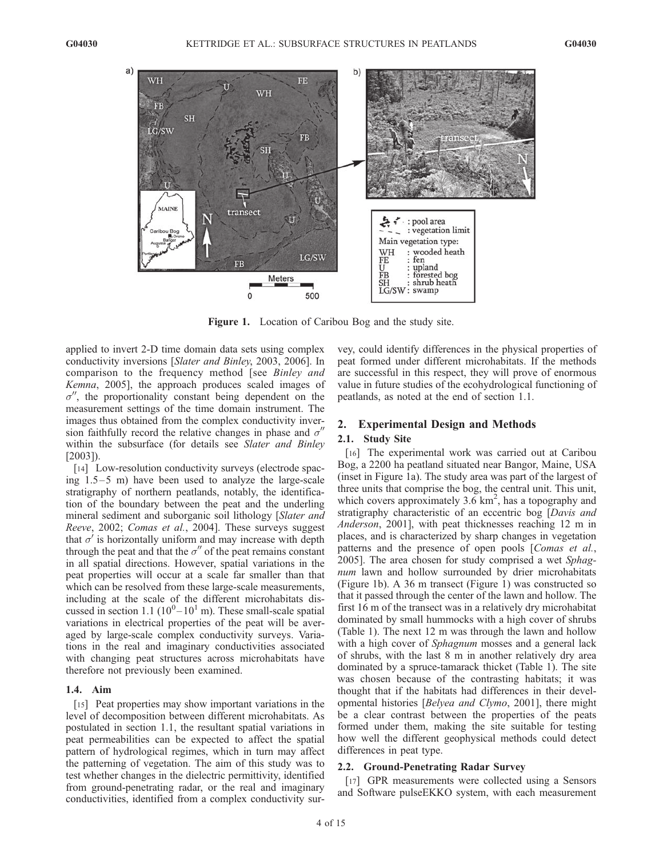

Figure 1. Location of Caribou Bog and the study site.

applied to invert 2-D time domain data sets using complex conductivity inversions [Slater and Binley, 2003, 2006]. In comparison to the frequency method [see Binley and Kemna, 2005], the approach produces scaled images of  $\sigma''$ , the proportionality constant being dependent on the measurement settings of the time domain instrument. The images thus obtained from the complex conductivity inversion faithfully record the relative changes in phase and  $\sigma''$ within the subsurface (for details see Slater and Binley [2003]).

[14] Low-resolution conductivity surveys (electrode spacing  $1.5-5$  m) have been used to analyze the large-scale stratigraphy of northern peatlands, notably, the identification of the boundary between the peat and the underling mineral sediment and suborganic soil lithology [Slater and Reeve, 2002; Comas et al., 2004]. These surveys suggest that  $\sigma'$  is horizontally uniform and may increase with depth through the peat and that the  $\sigma''$  of the peat remains constant in all spatial directions. However, spatial variations in the peat properties will occur at a scale far smaller than that which can be resolved from these large-scale measurements, including at the scale of the different microhabitats discussed in section 1.1 ( $10^0 - 10^1$  m). These small-scale spatial variations in electrical properties of the peat will be averaged by large-scale complex conductivity surveys. Variations in the real and imaginary conductivities associated with changing peat structures across microhabitats have therefore not previously been examined.

# 1.4. Aim

[15] Peat properties may show important variations in the level of decomposition between different microhabitats. As postulated in section 1.1, the resultant spatial variations in peat permeabilities can be expected to affect the spatial pattern of hydrological regimes, which in turn may affect the patterning of vegetation. The aim of this study was to test whether changes in the dielectric permittivity, identified from ground-penetrating radar, or the real and imaginary conductivities, identified from a complex conductivity sur-

vey, could identify differences in the physical properties of peat formed under different microhabitats. If the methods are successful in this respect, they will prove of enormous value in future studies of the ecohydrological functioning of peatlands, as noted at the end of section 1.1.

## 2. Experimental Design and Methods

## 2.1. Study Site

[16] The experimental work was carried out at Caribou Bog, a 2200 ha peatland situated near Bangor, Maine, USA (inset in Figure 1a). The study area was part of the largest of three units that comprise the bog, the central unit. This unit, which covers approximately  $3.6 \text{ km}^2$ , has a topography and stratigraphy characteristic of an eccentric bog [Davis and Anderson, 2001], with peat thicknesses reaching 12 m in places, and is characterized by sharp changes in vegetation patterns and the presence of open pools [Comas et al., 2005]. The area chosen for study comprised a wet Sphagnum lawn and hollow surrounded by drier microhabitats (Figure 1b). A 36 m transect (Figure 1) was constructed so that it passed through the center of the lawn and hollow. The first 16 m of the transect was in a relatively dry microhabitat dominated by small hummocks with a high cover of shrubs (Table 1). The next 12 m was through the lawn and hollow with a high cover of Sphagnum mosses and a general lack of shrubs, with the last 8 m in another relatively dry area dominated by a spruce-tamarack thicket (Table 1). The site was chosen because of the contrasting habitats; it was thought that if the habitats had differences in their developmental histories [Belyea and Clymo, 2001], there might be a clear contrast between the properties of the peats formed under them, making the site suitable for testing how well the different geophysical methods could detect differences in peat type.

## 2.2. Ground-Penetrating Radar Survey

[17] GPR measurements were collected using a Sensors and Software pulseEKKO system, with each measurement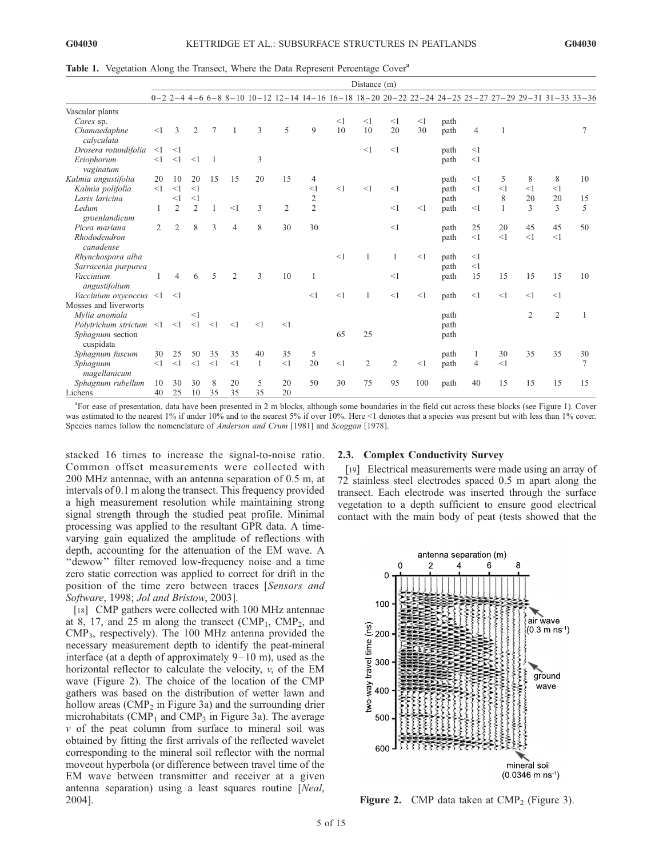|  |  |  | Table 1. Vegetation Along the Transect, Where the Data Represent Percentage Cover <sup>a</sup> |  |
|--|--|--|------------------------------------------------------------------------------------------------|--|
|  |  |  |                                                                                                |  |

|                            | Distance (m) |                |                |          |                |    |    |                |       |                |                |     |                                                                                                      |                |                |                |                |    |
|----------------------------|--------------|----------------|----------------|----------|----------------|----|----|----------------|-------|----------------|----------------|-----|------------------------------------------------------------------------------------------------------|----------------|----------------|----------------|----------------|----|
|                            |              |                |                |          |                |    |    |                |       |                |                |     | $0-2$ 2-4 4-6 6-8 8-10 10-12 12-14 14-16 16-18 18-20 20-22 22-24 24-25 25-27 27-29 29-31 31-33 33-36 |                |                |                |                |    |
| Vascular plants            |              |                |                |          |                |    |    |                |       |                |                |     |                                                                                                      |                |                |                |                |    |
| Carex sp.                  |              |                |                |          |                |    |    |                | $<$ 1 | <1             | <1             | <1  | path                                                                                                 |                |                |                |                |    |
| Chamaedaphne<br>calvculata | <1           | 3              | $\overline{2}$ | 7        |                | 3  | 5  | 9              | 10    | 10             | 20             | 30  | path                                                                                                 | $\overline{4}$ | $\overline{1}$ |                |                |    |
| Drosera rotundifolia       | $<$ 1        | $<$ 1          |                |          |                |    |    |                |       | <1             | <1             |     | path                                                                                                 | <1             |                |                |                |    |
| Eriophorum<br>vaginatum    | <1           | <1             | <1             |          |                | 3  |    |                |       |                |                |     | path                                                                                                 | <1             |                |                |                |    |
| Kalmia angustifolia        | 20           | 10             | 20             | 15       | 15             | 20 | 15 | 4              |       |                |                |     | path                                                                                                 | <1             | 5              | 8              | 8              | 10 |
| Kalmia polifolia           | <1           | <1             | <1             |          |                |    |    | $\leq$ 1       | <1    | <1             | <1             |     | path                                                                                                 | <1             | <1             | <1             | <1             |    |
| Larix laricina             |              | <1             | <1             |          |                |    |    | $\overline{2}$ |       |                |                |     | path                                                                                                 |                | 8              | 20             | 20             | 15 |
| Ledum                      | 1            | $\overline{2}$ | 2              | 1        | <1             | 3  | 2  | $\overline{2}$ |       |                | <1             | <1  | path                                                                                                 | <1             | $\overline{1}$ | 3              | 3              | 5  |
| groenlandicum              |              |                |                |          |                |    |    |                |       |                |                |     |                                                                                                      |                |                |                |                |    |
| Picea mariana              | 2            | $\overline{2}$ | 8              | 3        | $\overline{4}$ | 8  | 30 | 30             |       |                | <1             |     | path                                                                                                 | 25             | 20             | 45             | 45             | 50 |
| Rhododendron<br>canadense  |              |                |                |          |                |    |    |                |       |                |                |     | path                                                                                                 | <1             | <1             | <1             | <1             |    |
| Rhynchospora alba          |              |                |                |          |                |    |    |                | <1    | $\overline{1}$ | 1              | <1  | path                                                                                                 | <1             |                |                |                |    |
| Sarracenia purpurea        |              |                |                |          |                |    |    |                |       |                |                |     | path                                                                                                 | <1             |                |                |                |    |
| Vaccinium                  |              | $\overline{4}$ | 6              | 5        | 2              | 3  | 10 | 1              |       |                | <1             |     | path                                                                                                 | 15             | 15             | 15             | 15             | 10 |
| angustifolium              |              |                |                |          |                |    |    |                |       |                |                |     |                                                                                                      |                |                |                |                |    |
| Vaccinium oxycoccus        | $\leq$ 1     | $\leq$ 1       |                |          |                |    |    | <1             | <1    | $\overline{1}$ | <1             | <1  | path                                                                                                 | <1             | <1             | <1             | <1             |    |
| Mosses and liverworts      |              |                |                |          |                |    |    |                |       |                |                |     |                                                                                                      |                |                |                |                |    |
| Mylia anomala              |              |                | <1             |          |                |    |    |                |       |                |                |     | path                                                                                                 |                |                | $\overline{2}$ | $\overline{2}$ |    |
| Polytrichum strictum <1    |              | <1             | $\leq$ 1       | $\leq$ 1 | <1             | <1 | <1 |                |       |                |                |     | path                                                                                                 |                |                |                |                |    |
| Sphagnum section           |              |                |                |          |                |    |    |                | 65    | 25             |                |     | path                                                                                                 |                |                |                |                |    |
| cuspidata                  |              |                |                |          |                |    |    |                |       |                |                |     |                                                                                                      |                |                |                |                |    |
| Sphagnum fuscum            | 30           | 25             | 50             | 35       | 35             | 40 | 35 | 5              |       |                |                |     | path                                                                                                 | 1              | 30             | 35             | 35             | 30 |
| Sphagnum                   | <1           | <1             | <1             | <1       | <1             | 1  | <1 | 20             | <1    | $\overline{2}$ | $\overline{2}$ | <1  | path                                                                                                 | $\overline{4}$ | <1             |                |                | 7  |
| magellanicum               |              |                |                |          |                |    |    |                |       |                |                |     |                                                                                                      |                |                |                |                |    |
| Sphagnum rubellum          | 10           | 30             | 30             | 8        | 20             | 5  | 20 | 50             | 30    | 75             | 95             | 100 | path                                                                                                 | 40             | 15             | 15             | 15             | 15 |
| Lichens                    | 40           | 25             | 10             | 35       | 35             | 35 | 20 |                |       |                |                |     |                                                                                                      |                |                |                |                |    |

a For ease of presentation, data have been presented in 2 m blocks, although some boundaries in the field cut across these blocks (see Figure 1). Cover was estimated to the nearest 1% if under 10% and to the nearest 5% if over 10%. Here <1 denotes that a species was present but with less than 1% cover. Species names follow the nomenclature of Anderson and Crum [1981] and Scoggan [1978].

stacked 16 times to increase the signal-to-noise ratio. Common offset measurements were collected with 200 MHz antennae, with an antenna separation of 0.5 m, at intervals of 0.1 m along the transect. This frequency provided a high measurement resolution while maintaining strong signal strength through the studied peat profile. Minimal processing was applied to the resultant GPR data. A timevarying gain equalized the amplitude of reflections with depth, accounting for the attenuation of the EM wave. A ''dewow'' filter removed low-frequency noise and a time zero static correction was applied to correct for drift in the position of the time zero between traces [Sensors and Software, 1998; Jol and Bristow, 2003].

[18] CMP gathers were collected with 100 MHz antennae at 8, 17, and 25 m along the transect  $(CMP_1, \text{CMP}_2, \text{ and }$ CMP3, respectively). The 100 MHz antenna provided the necessary measurement depth to identify the peat-mineral interface (at a depth of approximately  $9-10$  m), used as the horizontal reflector to calculate the velocity,  $v$ , of the EM wave (Figure 2). The choice of the location of the CMP gathers was based on the distribution of wetter lawn and hollow areas (CMP<sub>2</sub> in Figure 3a) and the surrounding drier microhabitats (CMP<sub>1</sub> and CMP<sub>3</sub> in Figure 3a). The average  $v$  of the peat column from surface to mineral soil was obtained by fitting the first arrivals of the reflected wavelet corresponding to the mineral soil reflector with the normal moveout hyperbola (or difference between travel time of the EM wave between transmitter and receiver at a given antenna separation) using a least squares routine [Neal, 2004].

## 2.3. Complex Conductivity Survey

[19] Electrical measurements were made using an array of 72 stainless steel electrodes spaced 0.5 m apart along the transect. Each electrode was inserted through the surface vegetation to a depth sufficient to ensure good electrical contact with the main body of peat (tests showed that the



Figure 2. CMP data taken at  $\text{CMP}_2$  (Figure 3).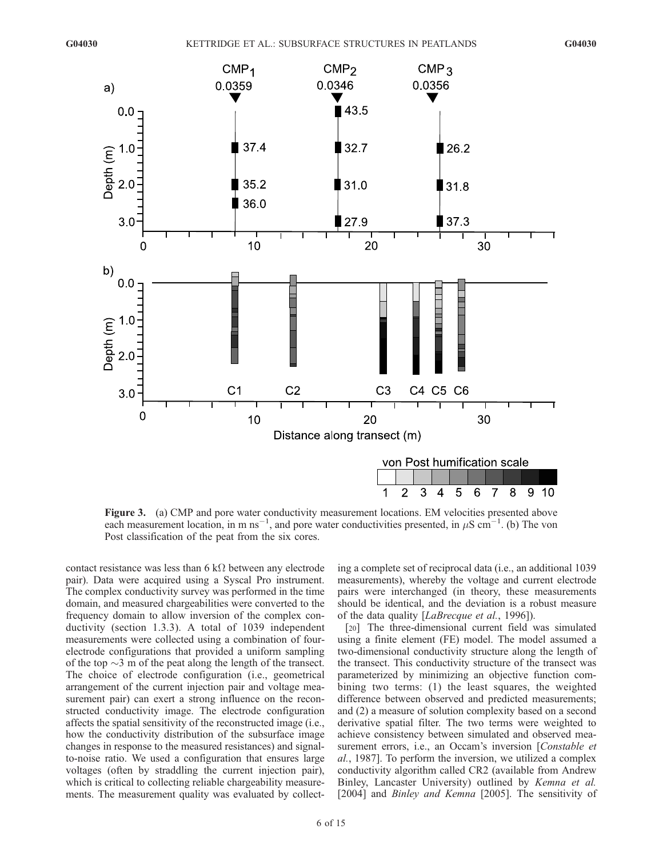

Figure 3. (a) CMP and pore water conductivity measurement locations. EM velocities presented above each measurement location, in m ns<sup>-1</sup>, and pore water conductivities presented, in  $\mu$ S cm<sup>-1</sup>. (b) The von Post classification of the peat from the six cores.

contact resistance was less than 6 k $\Omega$  between any electrode pair). Data were acquired using a Syscal Pro instrument. The complex conductivity survey was performed in the time domain, and measured chargeabilities were converted to the frequency domain to allow inversion of the complex conductivity (section 1.3.3). A total of 1039 independent measurements were collected using a combination of fourelectrode configurations that provided a uniform sampling of the top  $\sim$ 3 m of the peat along the length of the transect. The choice of electrode configuration (i.e., geometrical arrangement of the current injection pair and voltage measurement pair) can exert a strong influence on the reconstructed conductivity image. The electrode configuration affects the spatial sensitivity of the reconstructed image (i.e., how the conductivity distribution of the subsurface image changes in response to the measured resistances) and signalto-noise ratio. We used a configuration that ensures large voltages (often by straddling the current injection pair), which is critical to collecting reliable chargeability measurements. The measurement quality was evaluated by collecting a complete set of reciprocal data (i.e., an additional 1039 measurements), whereby the voltage and current electrode pairs were interchanged (in theory, these measurements should be identical, and the deviation is a robust measure of the data quality [LaBrecque et al., 1996]).

[20] The three-dimensional current field was simulated using a finite element (FE) model. The model assumed a two-dimensional conductivity structure along the length of the transect. This conductivity structure of the transect was parameterized by minimizing an objective function combining two terms: (1) the least squares, the weighted difference between observed and predicted measurements; and (2) a measure of solution complexity based on a second derivative spatial filter. The two terms were weighted to achieve consistency between simulated and observed measurement errors, i.e., an Occam's inversion [Constable et al., 1987]. To perform the inversion, we utilized a complex conductivity algorithm called CR2 (available from Andrew Binley, Lancaster University) outlined by Kemna et al. [2004] and *Binley and Kemna* [2005]. The sensitivity of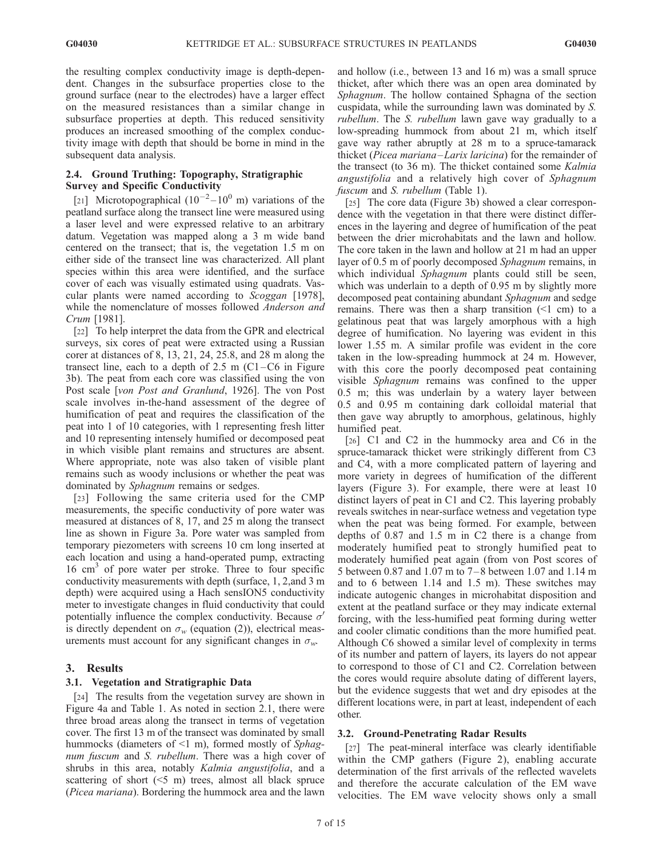the resulting complex conductivity image is depth-dependent. Changes in the subsurface properties close to the ground surface (near to the electrodes) have a larger effect on the measured resistances than a similar change in subsurface properties at depth. This reduced sensitivity produces an increased smoothing of the complex conductivity image with depth that should be borne in mind in the subsequent data analysis.

# 2.4. Ground Truthing: Topography, Stratigraphic Survey and Specific Conductivity

[21] Microtopographical  $(10^{-2} - 10^{0} \text{ m})$  variations of the peatland surface along the transect line were measured using a laser level and were expressed relative to an arbitrary datum. Vegetation was mapped along a 3 m wide band centered on the transect; that is, the vegetation 1.5 m on either side of the transect line was characterized. All plant species within this area were identified, and the surface cover of each was visually estimated using quadrats. Vascular plants were named according to *Scoggan* [1978], while the nomenclature of mosses followed Anderson and Crum [1981].

[22] To help interpret the data from the GPR and electrical surveys, six cores of peat were extracted using a Russian corer at distances of 8, 13, 21, 24, 25.8, and 28 m along the transect line, each to a depth of  $2.5 \text{ m } (C1-C6)$  in Figure 3b). The peat from each core was classified using the von Post scale [von Post and Granlund, 1926]. The von Post scale involves in-the-hand assessment of the degree of humification of peat and requires the classification of the peat into 1 of 10 categories, with 1 representing fresh litter and 10 representing intensely humified or decomposed peat in which visible plant remains and structures are absent. Where appropriate, note was also taken of visible plant remains such as woody inclusions or whether the peat was dominated by *Sphagnum* remains or sedges.

[23] Following the same criteria used for the CMP measurements, the specific conductivity of pore water was measured at distances of 8, 17, and 25 m along the transect line as shown in Figure 3a. Pore water was sampled from temporary piezometers with screens 10 cm long inserted at each location and using a hand-operated pump, extracting 16 cm<sup>3</sup> of pore water per stroke. Three to four specific conductivity measurements with depth (surface, 1, 2,and 3 m depth) were acquired using a Hach sensION5 conductivity meter to investigate changes in fluid conductivity that could potentially influence the complex conductivity. Because  $\sigma'$ is directly dependent on  $\sigma_w$  (equation (2)), electrical measurements must account for any significant changes in  $\sigma_w$ .

# 3. Results

# 3.1. Vegetation and Stratigraphic Data

[24] The results from the vegetation survey are shown in Figure 4a and Table 1. As noted in section 2.1, there were three broad areas along the transect in terms of vegetation cover. The first 13 m of the transect was dominated by small hummocks (diameters of <1 m), formed mostly of Sphagnum fuscum and S. rubellum. There was a high cover of shrubs in this area, notably Kalmia angustifolia, and a scattering of short  $(5 \text{ m})$  trees, almost all black spruce (Picea mariana). Bordering the hummock area and the lawn

and hollow (i.e., between 13 and 16 m) was a small spruce thicket, after which there was an open area dominated by Sphagnum. The hollow contained Sphagna of the section cuspidata, while the surrounding lawn was dominated by S. rubellum. The S. rubellum lawn gave way gradually to a low-spreading hummock from about 21 m, which itself gave way rather abruptly at 28 m to a spruce-tamarack thicket (Picea mariana–Larix laricina) for the remainder of the transect (to 36 m). The thicket contained some Kalmia angustifolia and a relatively high cover of Sphagnum fuscum and *S. rubellum* (Table 1).

[25] The core data (Figure 3b) showed a clear correspondence with the vegetation in that there were distinct differences in the layering and degree of humification of the peat between the drier microhabitats and the lawn and hollow. The core taken in the lawn and hollow at 21 m had an upper layer of 0.5 m of poorly decomposed Sphagnum remains, in which individual *Sphagnum* plants could still be seen, which was underlain to a depth of 0.95 m by slightly more decomposed peat containing abundant Sphagnum and sedge remains. There was then a sharp transition  $(1 \text{ cm})$  to a gelatinous peat that was largely amorphous with a high degree of humification. No layering was evident in this lower 1.55 m. A similar profile was evident in the core taken in the low-spreading hummock at 24 m. However, with this core the poorly decomposed peat containing visible Sphagnum remains was confined to the upper 0.5 m; this was underlain by a watery layer between 0.5 and 0.95 m containing dark colloidal material that then gave way abruptly to amorphous, gelatinous, highly humified peat.

[26] C1 and C2 in the hummocky area and C6 in the spruce-tamarack thicket were strikingly different from C3 and C4, with a more complicated pattern of layering and more variety in degrees of humification of the different layers (Figure 3). For example, there were at least 10 distinct layers of peat in C1 and C2. This layering probably reveals switches in near-surface wetness and vegetation type when the peat was being formed. For example, between depths of 0.87 and 1.5 m in C2 there is a change from moderately humified peat to strongly humified peat to moderately humified peat again (from von Post scores of 5 between 0.87 and 1.07 m to 7 – 8 between 1.07 and 1.14 m and to 6 between 1.14 and 1.5 m). These switches may indicate autogenic changes in microhabitat disposition and extent at the peatland surface or they may indicate external forcing, with the less-humified peat forming during wetter and cooler climatic conditions than the more humified peat. Although C6 showed a similar level of complexity in terms of its number and pattern of layers, its layers do not appear to correspond to those of C1 and C2. Correlation between the cores would require absolute dating of different layers, but the evidence suggests that wet and dry episodes at the different locations were, in part at least, independent of each other.

## 3.2. Ground-Penetrating Radar Results

[27] The peat-mineral interface was clearly identifiable within the CMP gathers (Figure 2), enabling accurate determination of the first arrivals of the reflected wavelets and therefore the accurate calculation of the EM wave velocities. The EM wave velocity shows only a small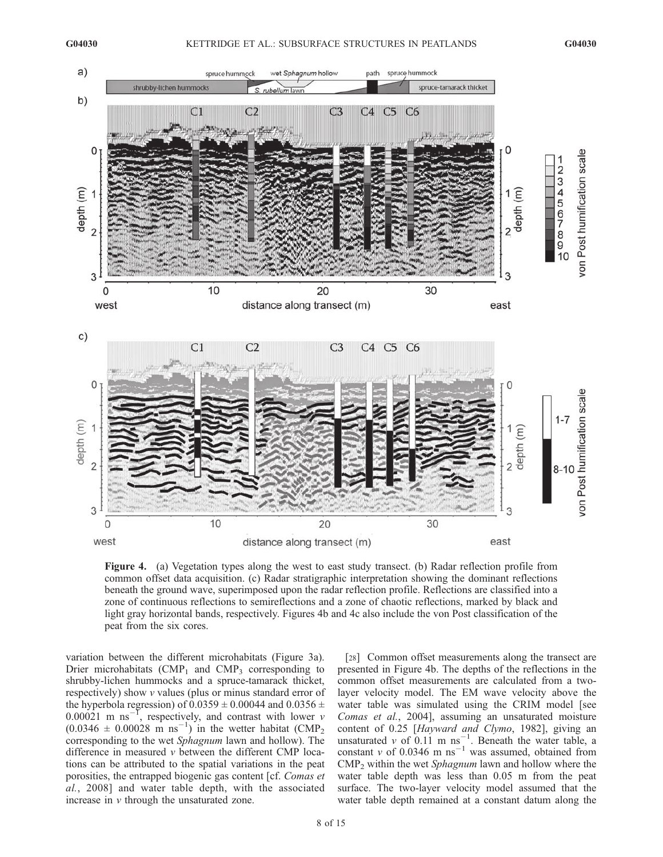

Figure 4. (a) Vegetation types along the west to east study transect. (b) Radar reflection profile from common offset data acquisition. (c) Radar stratigraphic interpretation showing the dominant reflections beneath the ground wave, superimposed upon the radar reflection profile. Reflections are classified into a zone of continuous reflections to semireflections and a zone of chaotic reflections, marked by black and light gray horizontal bands, respectively. Figures 4b and 4c also include the von Post classification of the peat from the six cores.

variation between the different microhabitats (Figure 3a). Drier microhabitats (CMP<sub>1</sub> and CMP<sub>3</sub> corresponding to shrubby-lichen hummocks and a spruce-tamarack thicket, respectively) show v values (plus or minus standard error of the hyperbola regression) of  $0.0359 \pm 0.00044$  and  $0.0356 \pm 0.00044$  $0.00021$  m ns<sup>-1</sup>, respectively, and contrast with lower v  $(0.0346 \pm 0.00028 \text{ m} \text{ ns}^{-1})$  in the wetter habitat (CMP<sub>2</sub>) corresponding to the wet Sphagnum lawn and hollow). The difference in measured  $v$  between the different CMP locations can be attributed to the spatial variations in the peat porosities, the entrapped biogenic gas content [cf. Comas et al., 2008] and water table depth, with the associated increase in v through the unsaturated zone.

[28] Common offset measurements along the transect are presented in Figure 4b. The depths of the reflections in the common offset measurements are calculated from a twolayer velocity model. The EM wave velocity above the water table was simulated using the CRIM model [see Comas et al., 2004], assuming an unsaturated moisture content of 0.25 [Hayward and Clymo, 1982], giving an unsaturated v of  $0.11 \text{ m} \text{ ns}^{-1}$ . Beneath the water table, a constant v of 0.0346 m ns<sup>-1</sup> was assumed, obtained from  $\text{CMP}_2$  within the wet *Sphagnum* lawn and hollow where the water table depth was less than 0.05 m from the peat surface. The two-layer velocity model assumed that the water table depth remained at a constant datum along the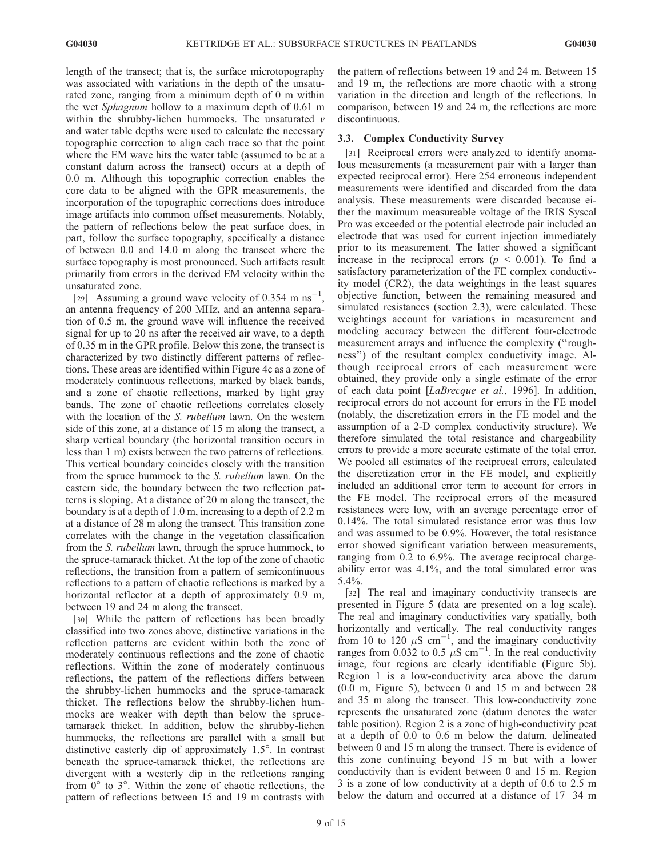length of the transect; that is, the surface microtopography was associated with variations in the depth of the unsaturated zone, ranging from a minimum depth of 0 m within the wet Sphagnum hollow to a maximum depth of 0.61 m within the shrubby-lichen hummocks. The unsaturated  $\nu$ and water table depths were used to calculate the necessary topographic correction to align each trace so that the point where the EM wave hits the water table (assumed to be at a constant datum across the transect) occurs at a depth of 0.0 m. Although this topographic correction enables the core data to be aligned with the GPR measurements, the incorporation of the topographic corrections does introduce image artifacts into common offset measurements. Notably, the pattern of reflections below the peat surface does, in part, follow the surface topography, specifically a distance of between 0.0 and 14.0 m along the transect where the surface topography is most pronounced. Such artifacts result primarily from errors in the derived EM velocity within the unsaturated zone.

[29] Assuming a ground wave velocity of 0.354 m  $\text{ns}^{-1}$ , an antenna frequency of 200 MHz, and an antenna separation of 0.5 m, the ground wave will influence the received signal for up to 20 ns after the received air wave, to a depth of 0.35 m in the GPR profile. Below this zone, the transect is characterized by two distinctly different patterns of reflections. These areas are identified within Figure 4c as a zone of moderately continuous reflections, marked by black bands, and a zone of chaotic reflections, marked by light gray bands. The zone of chaotic reflections correlates closely with the location of the S. *rubellum* lawn. On the western side of this zone, at a distance of 15 m along the transect, a sharp vertical boundary (the horizontal transition occurs in less than 1 m) exists between the two patterns of reflections. This vertical boundary coincides closely with the transition from the spruce hummock to the S. rubellum lawn. On the eastern side, the boundary between the two reflection patterns is sloping. At a distance of 20 m along the transect, the boundary is at a depth of 1.0 m, increasing to a depth of 2.2 m at a distance of 28 m along the transect. This transition zone correlates with the change in the vegetation classification from the *S. rubellum* lawn, through the spruce hummock, to the spruce-tamarack thicket. At the top of the zone of chaotic reflections, the transition from a pattern of semicontinuous reflections to a pattern of chaotic reflections is marked by a horizontal reflector at a depth of approximately 0.9 m, between 19 and 24 m along the transect.

[30] While the pattern of reflections has been broadly classified into two zones above, distinctive variations in the reflection patterns are evident within both the zone of moderately continuous reflections and the zone of chaotic reflections. Within the zone of moderately continuous reflections, the pattern of the reflections differs between the shrubby-lichen hummocks and the spruce-tamarack thicket. The reflections below the shrubby-lichen hummocks are weaker with depth than below the sprucetamarack thicket. In addition, below the shrubby-lichen hummocks, the reflections are parallel with a small but distinctive easterly dip of approximately  $1.5^\circ$ . In contrast beneath the spruce-tamarack thicket, the reflections are divergent with a westerly dip in the reflections ranging from  $0^{\circ}$  to  $3^{\circ}$ . Within the zone of chaotic reflections, the pattern of reflections between 15 and 19 m contrasts with

the pattern of reflections between 19 and 24 m. Between 15 and 19 m, the reflections are more chaotic with a strong variation in the direction and length of the reflections. In comparison, between 19 and 24 m, the reflections are more discontinuous.

## 3.3. Complex Conductivity Survey

[31] Reciprocal errors were analyzed to identify anomalous measurements (a measurement pair with a larger than expected reciprocal error). Here 254 erroneous independent measurements were identified and discarded from the data analysis. These measurements were discarded because either the maximum measureable voltage of the IRIS Syscal Pro was exceeded or the potential electrode pair included an electrode that was used for current injection immediately prior to its measurement. The latter showed a significant increase in the reciprocal errors ( $p \le 0.001$ ). To find a satisfactory parameterization of the FE complex conductivity model (CR2), the data weightings in the least squares objective function, between the remaining measured and simulated resistances (section 2.3), were calculated. These weightings account for variations in measurement and modeling accuracy between the different four-electrode measurement arrays and influence the complexity (''roughness'') of the resultant complex conductivity image. Although reciprocal errors of each measurement were obtained, they provide only a single estimate of the error of each data point [LaBrecque et al., 1996]. In addition, reciprocal errors do not account for errors in the FE model (notably, the discretization errors in the FE model and the assumption of a 2-D complex conductivity structure). We therefore simulated the total resistance and chargeability errors to provide a more accurate estimate of the total error. We pooled all estimates of the reciprocal errors, calculated the discretization error in the FE model, and explicitly included an additional error term to account for errors in the FE model. The reciprocal errors of the measured resistances were low, with an average percentage error of 0.14%. The total simulated resistance error was thus low and was assumed to be 0.9%. However, the total resistance error showed significant variation between measurements, ranging from 0.2 to 6.9%. The average reciprocal chargeability error was 4.1%, and the total simulated error was 5.4%.

[32] The real and imaginary conductivity transects are presented in Figure 5 (data are presented on a log scale). The real and imaginary conductivities vary spatially, both horizontally and vertically. The real conductivity ranges from 10 to 120  $\mu$ S cm<sup>-1</sup>, and the imaginary conductivity ranges from 0.032 to 0.5  $\mu$ S cm<sup>-1</sup>. In the real conductivity image, four regions are clearly identifiable (Figure 5b). Region 1 is a low-conductivity area above the datum (0.0 m, Figure 5), between 0 and 15 m and between 28 and 35 m along the transect. This low-conductivity zone represents the unsaturated zone (datum denotes the water table position). Region 2 is a zone of high-conductivity peat at a depth of 0.0 to 0.6 m below the datum, delineated between 0 and 15 m along the transect. There is evidence of this zone continuing beyond 15 m but with a lower conductivity than is evident between 0 and 15 m. Region 3 is a zone of low conductivity at a depth of 0.6 to 2.5 m below the datum and occurred at a distance of  $17-34$  m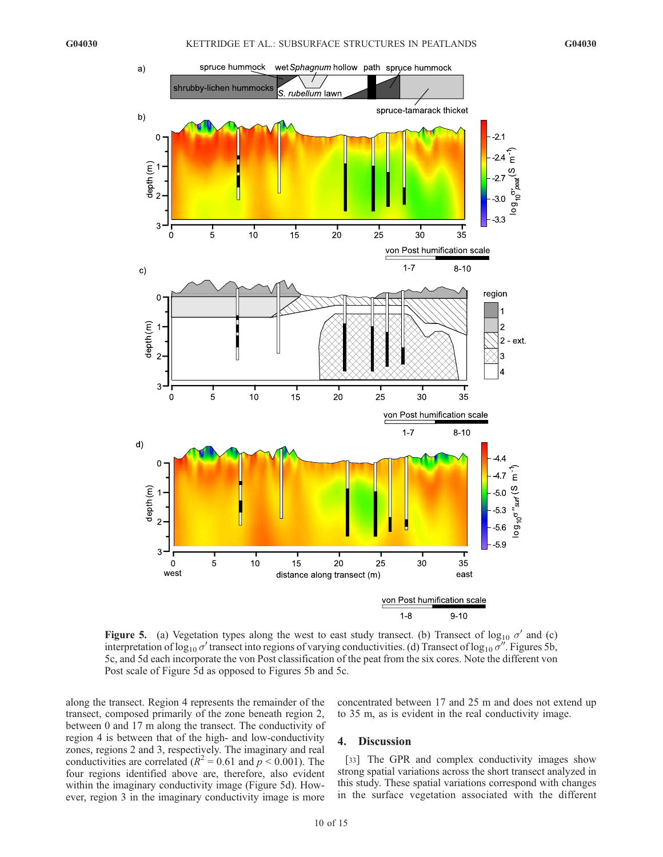

Figure 5. (a) Vegetation types along the west to east study transect. (b) Transect of  $log_{10} \sigma'$  and (c) interpretation of log<sub>10</sub>  $\sigma'$  transect into regions of varying conductivities. (d) Transect of log<sub>10</sub>  $\sigma''$ . Figures 5b, 5c, and 5d each incorporate the von Post classification of the peat from the six cores. Note the different von Post scale of Figure 5d as opposed to Figures 5b and 5c.

along the transect. Region 4 represents the remainder of the transect, composed primarily of the zone beneath region 2, between 0 and 17 m along the transect. The conductivity of region 4 is between that of the high- and low-conductivity zones, regions 2 and 3, respectively. The imaginary and real conductivities are correlated ( $R^2 = 0.61$  and  $p < 0.001$ ). The four regions identified above are, therefore, also evident within the imaginary conductivity image (Figure 5d). However, region 3 in the imaginary conductivity image is more

concentrated between 17 and 25 m and does not extend up to 35 m, as is evident in the real conductivity image.

#### 4. Discussion

[33] The GPR and complex conductivity images show strong spatial variations across the short transect analyzed in this study. These spatial variations correspond with changes in the surface vegetation associated with the different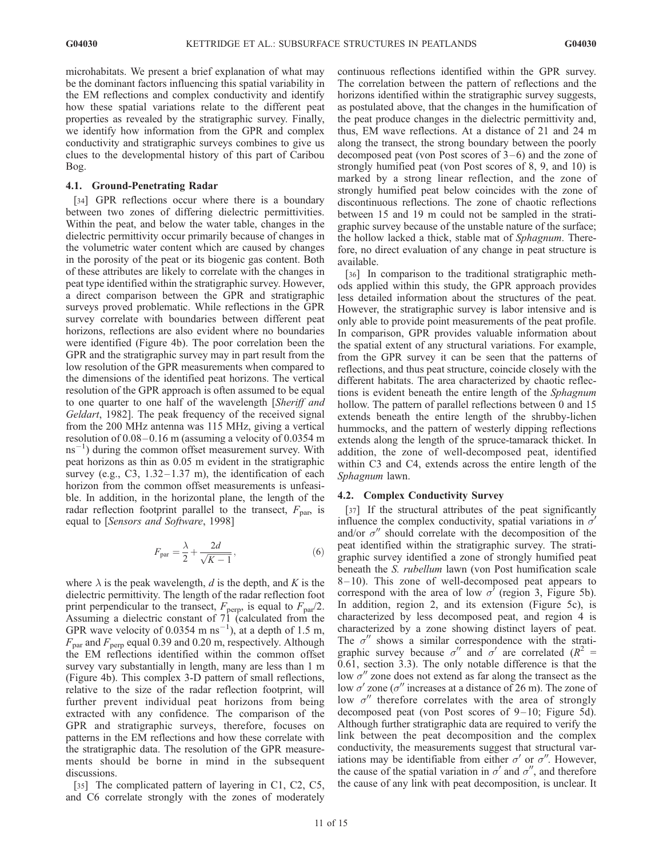microhabitats. We present a brief explanation of what may be the dominant factors influencing this spatial variability in the EM reflections and complex conductivity and identify how these spatial variations relate to the different peat properties as revealed by the stratigraphic survey. Finally, we identify how information from the GPR and complex conductivity and stratigraphic surveys combines to give us clues to the developmental history of this part of Caribou Bog.

#### 4.1. Ground-Penetrating Radar

[34] GPR reflections occur where there is a boundary between two zones of differing dielectric permittivities. Within the peat, and below the water table, changes in the dielectric permittivity occur primarily because of changes in the volumetric water content which are caused by changes in the porosity of the peat or its biogenic gas content. Both of these attributes are likely to correlate with the changes in peat type identified within the stratigraphic survey. However, a direct comparison between the GPR and stratigraphic surveys proved problematic. While reflections in the GPR survey correlate with boundaries between different peat horizons, reflections are also evident where no boundaries were identified (Figure 4b). The poor correlation been the GPR and the stratigraphic survey may in part result from the low resolution of the GPR measurements when compared to the dimensions of the identified peat horizons. The vertical resolution of the GPR approach is often assumed to be equal to one quarter to one half of the wavelength [Sheriff and Geldart, 1982]. The peak frequency of the received signal from the 200 MHz antenna was 115 MHz, giving a vertical resolution of  $0.08-0.16$  m (assuming a velocity of  $0.0354$  m  $\text{ms}^{-1}$ ) during the common offset measurement survey. With peat horizons as thin as 0.05 m evident in the stratigraphic survey (e.g., C3,  $1.32-1.37$  m), the identification of each horizon from the common offset measurements is unfeasible. In addition, in the horizontal plane, the length of the radar reflection footprint parallel to the transect,  $F_{\text{par}}$  is equal to [Sensors and Software, 1998]

$$
F_{\text{par}} = \frac{\lambda}{2} + \frac{2d}{\sqrt{K - 1}},\tag{6}
$$

where  $\lambda$  is the peak wavelength, d is the depth, and K is the dielectric permittivity. The length of the radar reflection foot print perpendicular to the transect,  $F_{\text{perp}}$ , is equal to  $F_{\text{par}}/2$ . Assuming a dielectric constant of 71 (calculated from the GPR wave velocity of 0.0354 m  $\text{ns}^{-1}$ ), at a depth of 1.5 m,  $F_{\text{par}}$  and  $F_{\text{perp}}$  equal 0.39 and 0.20 m, respectively. Although the EM reflections identified within the common offset survey vary substantially in length, many are less than 1 m (Figure 4b). This complex 3-D pattern of small reflections, relative to the size of the radar reflection footprint, will further prevent individual peat horizons from being extracted with any confidence. The comparison of the GPR and stratigraphic surveys, therefore, focuses on patterns in the EM reflections and how these correlate with the stratigraphic data. The resolution of the GPR measurements should be borne in mind in the subsequent discussions.

[35] The complicated pattern of layering in C1, C2, C5, and C6 correlate strongly with the zones of moderately continuous reflections identified within the GPR survey. The correlation between the pattern of reflections and the horizons identified within the stratigraphic survey suggests, as postulated above, that the changes in the humification of the peat produce changes in the dielectric permittivity and, thus, EM wave reflections. At a distance of 21 and 24 m along the transect, the strong boundary between the poorly decomposed peat (von Post scores of  $3-6$ ) and the zone of strongly humified peat (von Post scores of 8, 9, and 10) is marked by a strong linear reflection, and the zone of strongly humified peat below coincides with the zone of discontinuous reflections. The zone of chaotic reflections between 15 and 19 m could not be sampled in the stratigraphic survey because of the unstable nature of the surface; the hollow lacked a thick, stable mat of Sphagnum. Therefore, no direct evaluation of any change in peat structure is available.

[36] In comparison to the traditional stratigraphic methods applied within this study, the GPR approach provides less detailed information about the structures of the peat. However, the stratigraphic survey is labor intensive and is only able to provide point measurements of the peat profile. In comparison, GPR provides valuable information about the spatial extent of any structural variations. For example, from the GPR survey it can be seen that the patterns of reflections, and thus peat structure, coincide closely with the different habitats. The area characterized by chaotic reflections is evident beneath the entire length of the Sphagnum hollow. The pattern of parallel reflections between 0 and 15 extends beneath the entire length of the shrubby-lichen hummocks, and the pattern of westerly dipping reflections extends along the length of the spruce-tamarack thicket. In addition, the zone of well-decomposed peat, identified within C3 and C4, extends across the entire length of the Sphagnum lawn.

#### 4.2. Complex Conductivity Survey

[37] If the structural attributes of the peat significantly influence the complex conductivity, spatial variations in  $\sigma'$ and/or  $\sigma''$  should correlate with the decomposition of the peat identified within the stratigraphic survey. The stratigraphic survey identified a zone of strongly humified peat beneath the *S. rubellum* lawn (von Post humification scale  $8-10$ ). This zone of well-decomposed peat appears to correspond with the area of low  $\sigma'$  (region 3, Figure 5b). In addition, region 2, and its extension (Figure 5c), is characterized by less decomposed peat, and region 4 is characterized by a zone showing distinct layers of peat. The  $\sigma''$  shows a similar correspondence with the stratigraphic survey because  $\sigma''$  and  $\sigma'$  are correlated ( $R^2$  = 0.61, section 3.3). The only notable difference is that the low  $\sigma''$  zone does not extend as far along the transect as the low  $\sigma'$  zone ( $\sigma''$  increases at a distance of 26 m). The zone of low  $\sigma''$  therefore correlates with the area of strongly decomposed peat (von Post scores of  $9-10$ ; Figure 5d). Although further stratigraphic data are required to verify the link between the peat decomposition and the complex conductivity, the measurements suggest that structural variations may be identifiable from either  $\sigma'$  or  $\sigma''$ . However, the cause of the spatial variation in  $\sigma'$  and  $\sigma''$ , and therefore the cause of any link with peat decomposition, is unclear. It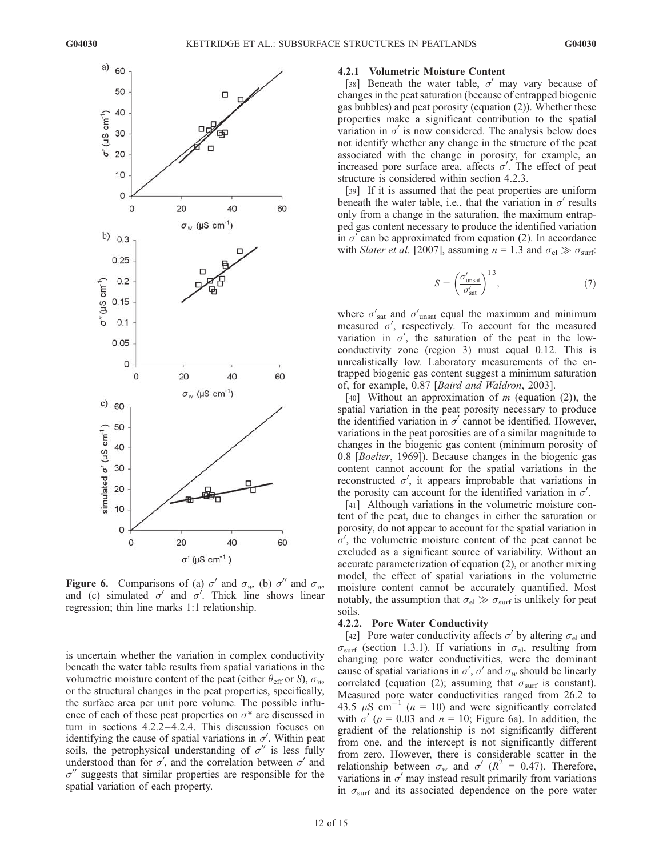

**Figure 6.** Comparisons of (a)  $\sigma'$  and  $\sigma_w$ , (b)  $\sigma''$  and  $\sigma_w$ , and (c) simulated  $\sigma'$  and  $\sigma'$ . Thick line shows linear regression; thin line marks 1:1 relationship.

is uncertain whether the variation in complex conductivity beneath the water table results from spatial variations in the volumetric moisture content of the peat (either  $\theta_{\text{eff}}$  or S),  $\sigma_w$ , or the structural changes in the peat properties, specifically, the surface area per unit pore volume. The possible influence of each of these peat properties on  $\sigma^*$  are discussed in turn in sections 4.2.2 –4.2.4. This discussion focuses on identifying the cause of spatial variations in  $\sigma'$ . Within peat soils, the petrophysical understanding of  $\sigma''$  is less fully understood than for  $\sigma'$ , and the correlation between  $\sigma'$  and  $\sigma''$  suggests that similar properties are responsible for the spatial variation of each property.

## 4.2.1 Volumetric Moisture Content

[38] Beneath the water table,  $\sigma'$  may vary because of changes in the peat saturation (because of entrapped biogenic gas bubbles) and peat porosity (equation (2)). Whether these properties make a significant contribution to the spatial variation in  $\sigma'$  is now considered. The analysis below does not identify whether any change in the structure of the peat associated with the change in porosity, for example, an increased pore surface area, affects  $\sigma'$ . The effect of peat structure is considered within section 4.2.3.

[39] If it is assumed that the peat properties are uniform beneath the water table, i.e., that the variation in  $\sigma'$  results only from a change in the saturation, the maximum entrapped gas content necessary to produce the identified variation in  $\sigma'$  can be approximated from equation (2). In accordance with Slater et al. [2007], assuming  $n = 1.3$  and  $\sigma_{el} \gg \sigma_{surf}$ :

$$
S = \left(\frac{\sigma_{\text{unsat}}'}{\sigma_{\text{sat}}'}\right)^{1.3},\tag{7}
$$

where  $\sigma'_{\text{sat}}$  and  $\sigma'_{\text{unsat}}$  equal the maximum and minimum measured  $\sigma'$ , respectively. To account for the measured variation in  $\sigma'$ , the saturation of the peat in the lowconductivity zone (region 3) must equal 0.12. This is unrealistically low. Laboratory measurements of the entrapped biogenic gas content suggest a minimum saturation of, for example, 0.87 [Baird and Waldron, 2003].

[40] Without an approximation of  $m$  (equation (2)), the spatial variation in the peat porosity necessary to produce the identified variation in  $\sigma'$  cannot be identified. However, variations in the peat porosities are of a similar magnitude to changes in the biogenic gas content (minimum porosity of 0.8 [Boelter, 1969]). Because changes in the biogenic gas content cannot account for the spatial variations in the reconstructed  $\sigma'$ , it appears improbable that variations in the porosity can account for the identified variation in  $\sigma'$ .

[41] Although variations in the volumetric moisture content of the peat, due to changes in either the saturation or porosity, do not appear to account for the spatial variation in  $\sigma'$ , the volumetric moisture content of the peat cannot be excluded as a significant source of variability. Without an accurate parameterization of equation (2), or another mixing model, the effect of spatial variations in the volumetric moisture content cannot be accurately quantified. Most notably, the assumption that  $\sigma_{el} \gg \sigma_{surf}$  is unlikely for peat soils.

## 4.2.2. Pore Water Conductivity

[42] Pore water conductivity affects  $\sigma'$  by altering  $\sigma_{el}$  and  $\sigma_{\text{surf}}$  (section 1.3.1). If variations in  $\sigma_{\text{el}}$ , resulting from changing pore water conductivities, were the dominant cause of spatial variations in  $\sigma'$ ,  $\sigma'$  and  $\sigma_w$  should be linearly correlated (equation (2); assuming that  $\sigma_{\text{surf}}$  is constant). Measured pore water conductivities ranged from 26.2 to 43.5  $\mu$ S cm<sup>-1</sup> (n = 10) and were significantly correlated with  $\sigma'$  (p = 0.03 and n = 10; Figure 6a). In addition, the gradient of the relationship is not significantly different from one, and the intercept is not significantly different from zero. However, there is considerable scatter in the relationship between  $\sigma_w$  and  $\sigma'$  ( $R^2 = 0.47$ ). Therefore, variations in  $\sigma'$  may instead result primarily from variations in  $\sigma_{\text{surf}}$  and its associated dependence on the pore water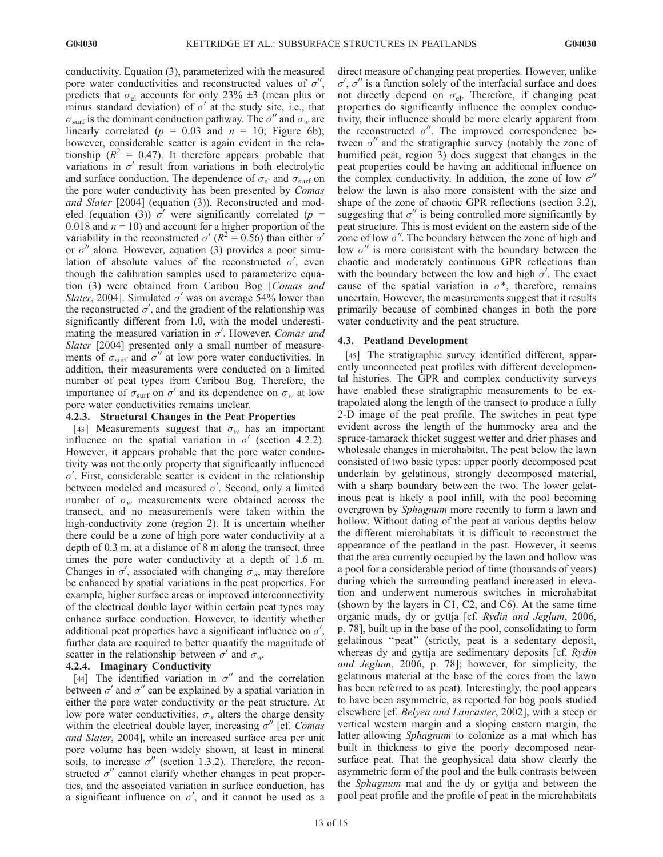conductivity. Equation (3), parameterized with the measured pore water conductivities and reconstructed values of  $\sigma''$ , predicts that  $\sigma_{el}$  accounts for only 23%  $\pm$ 3 (mean plus or minus standard deviation) of  $\sigma'$  at the study site, i.e., that  $\sigma_{\text{surf}}$  is the dominant conduction pathway. The  $\sigma''$  and  $\sigma_w$  are linearly correlated ( $p = 0.03$  and  $n = 10$ ; Figure 6b); however, considerable scatter is again evident in the relationship ( $R^2 = 0.47$ ). It therefore appears probable that variations in  $\sigma'$  result from variations in both electrolytic and surface conduction. The dependence of  $\sigma_{el}$  and  $\sigma_{surf}$  on the pore water conductivity has been presented by Comas and Slater [2004] (equation (3)). Reconstructed and modeled (equation (3))  $\sigma'$  were significantly correlated (p = 0.018 and  $n = 10$ ) and account for a higher proportion of the variability in the reconstructed  $\sigma'$  ( $R^2$  = 0.56) than either  $\sigma'$ or  $\sigma''$  alone. However, equation (3) provides a poor simulation of absolute values of the reconstructed  $\sigma'$ , even though the calibration samples used to parameterize equation (3) were obtained from Caribou Bog [Comas and Slater, 2004]. Simulated  $\sigma'$  was on average 54% lower than the reconstructed  $\sigma'$ , and the gradient of the relationship was significantly different from 1.0, with the model underestimating the measured variation in  $\sigma'$ . However, Comas and Slater [2004] presented only a small number of measurements of  $\sigma_{\text{surf}}$  and  $\sigma''$  at low pore water conductivities. In addition, their measurements were conducted on a limited number of peat types from Caribou Bog. Therefore, the importance of  $\sigma_{\text{surf}}$  on  $\sigma'$  and its dependence on  $\sigma_w$  at low pore water conductivities remains unclear.

## 4.2.3. Structural Changes in the Peat Properties

[43] Measurements suggest that  $\sigma_w$  has an important influence on the spatial variation in  $\sigma'$  (section 4.2.2). However, it appears probable that the pore water conductivity was not the only property that significantly influenced  $\sigma'$ . First, considerable scatter is evident in the relationship between modeled and measured  $\sigma'$ . Second, only a limited number of  $\sigma_w$  measurements were obtained across the transect, and no measurements were taken within the high-conductivity zone (region 2). It is uncertain whether there could be a zone of high pore water conductivity at a depth of 0.3 m, at a distance of 8 m along the transect, three times the pore water conductivity at a depth of 1.6 m. Changes in  $\sigma'$ , associated with changing  $\sigma_w$ , may therefore be enhanced by spatial variations in the peat properties. For example, higher surface areas or improved interconnectivity of the electrical double layer within certain peat types may enhance surface conduction. However, to identify whether additional peat properties have a significant influence on  $\sigma'$ , further data are required to better quantify the magnitude of scatter in the relationship between  $\sigma'$  and  $\sigma_w$ .

## 4.2.4. Imaginary Conductivity

[44] The identified variation in  $\sigma''$  and the correlation between  $\sigma'$  and  $\sigma''$  can be explained by a spatial variation in either the pore water conductivity or the peat structure. At low pore water conductivities,  $\sigma_w$  alters the charge density within the electrical double layer, increasing  $\sigma''$  [cf. Comas and Slater, 2004], while an increased surface area per unit pore volume has been widely shown, at least in mineral soils, to increase  $\sigma''$  (section 1.3.2). Therefore, the reconstructed  $\sigma''$  cannot clarify whether changes in peat properties, and the associated variation in surface conduction, has a significant influence on  $\sigma'$ , and it cannot be used as a

direct measure of changing peat properties. However, unlike  $\sigma'$ ,  $\sigma''$  is a function solely of the interfacial surface and does not directly depend on  $\sigma_{el}$ . Therefore, if changing peat properties do significantly influence the complex conductivity, their influence should be more clearly apparent from the reconstructed  $\sigma''$ . The improved correspondence between  $\sigma''$  and the stratigraphic survey (notably the zone of humified peat, region 3) does suggest that changes in the peat properties could be having an additional influence on the complex conductivity. In addition, the zone of low  $\sigma''$ below the lawn is also more consistent with the size and shape of the zone of chaotic GPR reflections (section 3.2), suggesting that  $\sigma''$  is being controlled more significantly by peat structure. This is most evident on the eastern side of the zone of low  $\sigma''$ . The boundary between the zone of high and low  $\sigma''$  is more consistent with the boundary between the chaotic and moderately continuous GPR reflections than with the boundary between the low and high  $\sigma'$ . The exact cause of the spatial variation in  $\sigma^*$ , therefore, remains uncertain. However, the measurements suggest that it results primarily because of combined changes in both the pore water conductivity and the peat structure.

## 4.3. Peatland Development

[45] The stratigraphic survey identified different, apparently unconnected peat profiles with different developmental histories. The GPR and complex conductivity surveys have enabled these stratigraphic measurements to be extrapolated along the length of the transect to produce a fully 2-D image of the peat profile. The switches in peat type evident across the length of the hummocky area and the spruce-tamarack thicket suggest wetter and drier phases and wholesale changes in microhabitat. The peat below the lawn consisted of two basic types: upper poorly decomposed peat underlain by gelatinous, strongly decomposed material, with a sharp boundary between the two. The lower gelatinous peat is likely a pool infill, with the pool becoming overgrown by Sphagnum more recently to form a lawn and hollow. Without dating of the peat at various depths below the different microhabitats it is difficult to reconstruct the appearance of the peatland in the past. However, it seems that the area currently occupied by the lawn and hollow was a pool for a considerable period of time (thousands of years) during which the surrounding peatland increased in elevation and underwent numerous switches in microhabitat (shown by the layers in C1, C2, and C6). At the same time organic muds, dy or gyttja [cf. Rydin and Jeglum, 2006, p. 78], built up in the base of the pool, consolidating to form gelatinous ''peat'' (strictly, peat is a sedentary deposit, whereas dy and gyttja are sedimentary deposits [cf. Rydin] and Jeglum, 2006, p. 78]; however, for simplicity, the gelatinous material at the base of the cores from the lawn has been referred to as peat). Interestingly, the pool appears to have been asymmetric, as reported for bog pools studied elsewhere [cf. Belyea and Lancaster, 2002], with a steep or vertical western margin and a sloping eastern margin, the latter allowing Sphagnum to colonize as a mat which has built in thickness to give the poorly decomposed nearsurface peat. That the geophysical data show clearly the asymmetric form of the pool and the bulk contrasts between the Sphagnum mat and the dy or gyttja and between the pool peat profile and the profile of peat in the microhabitats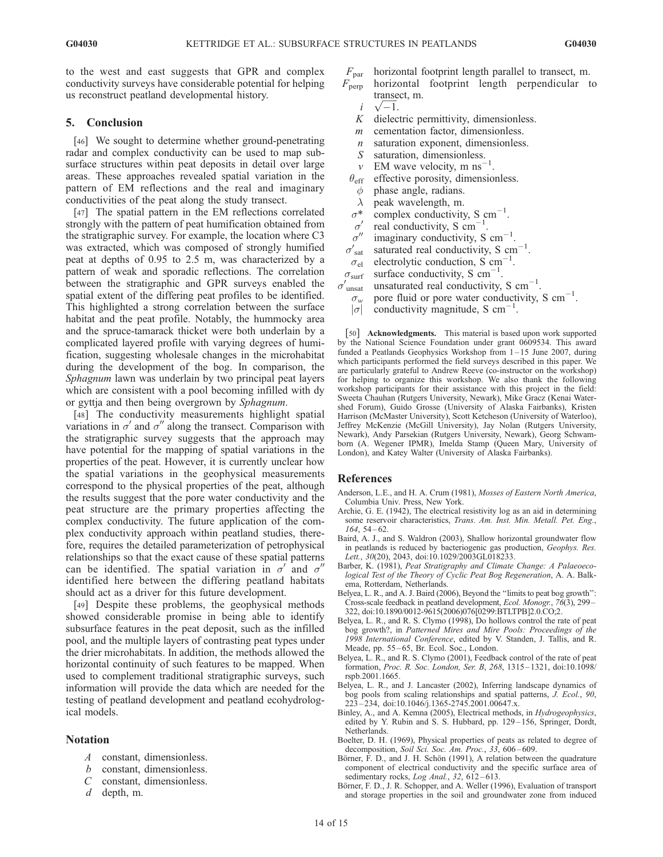to the west and east suggests that GPR and complex conductivity surveys have considerable potential for helping us reconstruct peatland developmental history.

## 5. Conclusion

[46] We sought to determine whether ground-penetrating radar and complex conductivity can be used to map subsurface structures within peat deposits in detail over large areas. These approaches revealed spatial variation in the pattern of EM reflections and the real and imaginary conductivities of the peat along the study transect.

[47] The spatial pattern in the EM reflections correlated strongly with the pattern of peat humification obtained from the stratigraphic survey. For example, the location where C3 was extracted, which was composed of strongly humified peat at depths of 0.95 to 2.5 m, was characterized by a pattern of weak and sporadic reflections. The correlation between the stratigraphic and GPR surveys enabled the spatial extent of the differing peat profiles to be identified. This highlighted a strong correlation between the surface habitat and the peat profile. Notably, the hummocky area and the spruce-tamarack thicket were both underlain by a complicated layered profile with varying degrees of humification, suggesting wholesale changes in the microhabitat during the development of the bog. In comparison, the Sphagnum lawn was underlain by two principal peat layers which are consistent with a pool becoming infilled with dy or gyttja and then being overgrown by Sphagnum.

[48] The conductivity measurements highlight spatial variations in  $\sigma'$  and  $\sigma''$  along the transect. Comparison with the stratigraphic survey suggests that the approach may have potential for the mapping of spatial variations in the properties of the peat. However, it is currently unclear how the spatial variations in the geophysical measurements correspond to the physical properties of the peat, although the results suggest that the pore water conductivity and the peat structure are the primary properties affecting the complex conductivity. The future application of the complex conductivity approach within peatland studies, therefore, requires the detailed parameterization of petrophysical relationships so that the exact cause of these spatial patterns can be identified. The spatial variation in  $\sigma'$  and  $\sigma''$ identified here between the differing peatland habitats should act as a driver for this future development.

[49] Despite these problems, the geophysical methods showed considerable promise in being able to identify subsurface features in the peat deposit, such as the infilled pool, and the multiple layers of contrasting peat types under the drier microhabitats. In addition, the methods allowed the horizontal continuity of such features to be mapped. When used to complement traditional stratigraphic surveys, such information will provide the data which are needed for the testing of peatland development and peatland ecohydrological models.

## Notation

- A constant, dimensionless.
- b constant, dimensionless.
- C constant, dimensionless.
- d depth, m.
- $F_{\text{par}}$  horizontal footprint length parallel to transect, m.<br> $F_{\text{perp}}$  horizontal footprint length perpendicular to horizontal footprint length perpendicular to transect, m.
	- transe<br>  $i \sqrt{-1}$ .
	- K dielectric permittivity, dimensionless.
	- m cementation factor, dimensionless.
	- $n$  saturation exponent, dimensionless.
	- S saturation, dimensionless.
	- $v$  EM wave velocity, m ns<sup>-1</sup> .
	- $\theta_{\text{eff}}$  effective porosity, dimensionless.
		- $\phi$  phase angle, radians.
	- $\lambda$  peak wavelength, m.
	- $\sigma^*$  complex conductivity, S cm<sup>-1</sup>.
	- $\sigma'$  real conductivity, S cm<sup>-1</sup>.
	- $\sigma''$  imaginary conductivity, S cm<sup>-1</sup>.
- $\sigma^{''}_{\rm sat}$ sat saturated real conductivity, S  $cm^{-1}$ .
- $\sigma_{el}$  electrolytic conduction, S cm<sup>-</sup> .
- $\sigma_{\text{surf}}$  surface conductivity, S cm<sup>-1</sup>.
- $\sigma'_{\rm{unsat}}$  $_{\text{unsat}}$  unsaturated real conductivity, S cm<sup>-1</sup>.
	- $\sigma_w$  pore fluid or pore water conductivity, S cm<sup>-1</sup>.
	- $|\sigma|$  conductivity magnitude, S cm<sup>-1</sup>.

[50] Acknowledgments. This material is based upon work supported by the National Science Foundation under grant 0609534. This award funded a Peatlands Geophysics Workshop from 1 – 15 June 2007, during which participants performed the field surveys described in this paper. We are particularly grateful to Andrew Reeve (co-instructor on the workshop) for helping to organize this workshop. We also thank the following workshop participants for their assistance with this project in the field: Sweeta Chauhan (Rutgers University, Newark), Mike Gracz (Kenai Watershed Forum), Guido Grosse (University of Alaska Fairbanks), Kristen Harrison (McMaster University), Scott Ketcheson (University of Waterloo), Jeffrey McKenzie (McGill University), Jay Nolan (Rutgers University, Newark), Andy Parsekian (Rutgers University, Newark), Georg Schwamborn (A. Wegener IPMR), Imelda Stamp (Queen Mary, University of London), and Katey Walter (University of Alaska Fairbanks).

#### References

- Anderson, L.E., and H. A. Crum (1981), Mosses of Eastern North America, Columbia Univ. Press, New York.
- Archie, G. E. (1942), The electrical resistivity log as an aid in determining some reservoir characteristics, Trans. Am. Inst. Min. Metall. Pet. Eng.,  $164, 54 - 62.$
- Baird, A. J., and S. Waldron (2003), Shallow horizontal groundwater flow in peatlands is reduced by bacteriogenic gas production, Geophys. Res. Lett., 30(20), 2043, doi:10.1029/2003GL018233.
- Barber, K. (1981), Peat Stratigraphy and Climate Change: A Palaeoecological Test of the Theory of Cyclic Peat Bog Regeneration, A. A. Balkema, Rotterdam, Netherlands.
- Belyea, L. R., and A. J. Baird (2006), Beyond the ''limits to peat bog growth'': Cross-scale feedback in peatland development, Ecol. Monogr., 76(3), 299– 322, doi:10.1890/0012-9615(2006)076[0299:BTLTPB]2.0.CO;2.
- Belyea, L. R., and R. S. Clymo (1998), Do hollows control the rate of peat bog growth?, in Patterned Mires and Mire Pools: Proceedings of the 1998 International Conference, edited by V. Standen, J. Tallis, and R. Meade, pp. 55-65, Br. Ecol. Soc., London.
- Belyea, L. R., and R. S. Clymo (2001), Feedback control of the rate of peat formation, Proc. R. Soc. London, Ser. B, 268, 1315 – 1321, doi:10.1098/ rspb.2001.1665.
- Belyea, L. R., and J. Lancaster (2002), Inferring landscape dynamics of bog pools from scaling relationships and spatial patterns, J. Ecol., 90, 223 – 234, doi:10.1046/j.1365-2745.2001.00647.x.
- Binley, A., and A. Kemna (2005), Electrical methods, in Hydrogeophysics, edited by Y. Rubin and S. S. Hubbard, pp. 129 – 156, Springer, Dordt, Netherlands.
- Boelter, D. H. (1969), Physical properties of peats as related to degree of decomposition, Soil Sci. Soc. Am. Proc., 33, 606-609.
- Börner, F. D., and J. H. Schön (1991), A relation between the quadrature component of electrical conductivity and the specific surface area of sedimentary rocks, Log Anal., 32, 612-613.
- Börner, F. D., J. R. Schopper, and A. Weller (1996), Evaluation of transport and storage properties in the soil and groundwater zone from induced